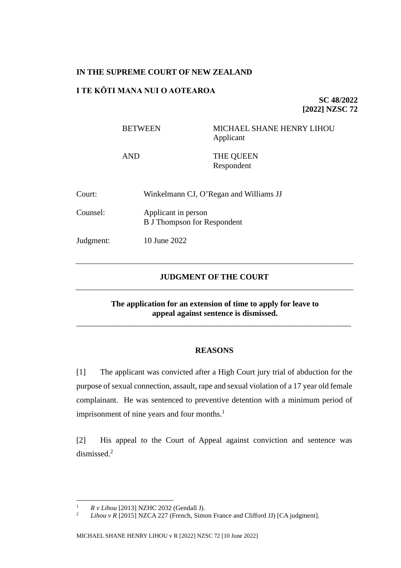## **IN THE SUPREME COURT OF NEW ZEALAND**

## **I TE KŌTI MANA NUI O AOTEAROA**

**SC 48/2022 [2022] NZSC 72**

BETWEEN MICHAEL SHANE HENRY LIHOU Applicant

AND THE QUEEN Respondent

| Court:    | Winkelmann CJ, O'Regan and Williams JJ                    |
|-----------|-----------------------------------------------------------|
| Counsel:  | Applicant in person<br><b>B</b> J Thompson for Respondent |
| Judgment: | 10 June 2022                                              |

## **JUDGMENT OF THE COURT**

**The application for an extension of time to apply for leave to appeal against sentence is dismissed.**

\_\_\_\_\_\_\_\_\_\_\_\_\_\_\_\_\_\_\_\_\_\_\_\_\_\_\_\_\_\_\_\_\_\_\_\_\_\_\_\_\_\_\_\_\_\_\_\_\_\_\_\_\_\_\_\_\_\_\_\_\_\_\_\_\_\_\_\_

## **REASONS**

[1] The applicant was convicted after a High Court jury trial of abduction for the purpose of sexual connection, assault, rape and sexual violation of a 17 year old female complainant. He was sentenced to preventive detention with a minimum period of imprisonment of nine years and four months.<sup>1</sup>

<span id="page-0-0"></span>[2] His appeal to the Court of Appeal against conviction and sentence was dismissed.<sup>2</sup>

<sup>&</sup>lt;sup>1</sup> *R v Lihou* [2013] NZHC 2032 (Gendall J).<br><sup>2</sup> *Lihou y B* [2015] NZC A 227 (Franch Sime

Lihou v R [2015] NZCA 227 (French, Simon France and Clifford JJ) [CA judgment].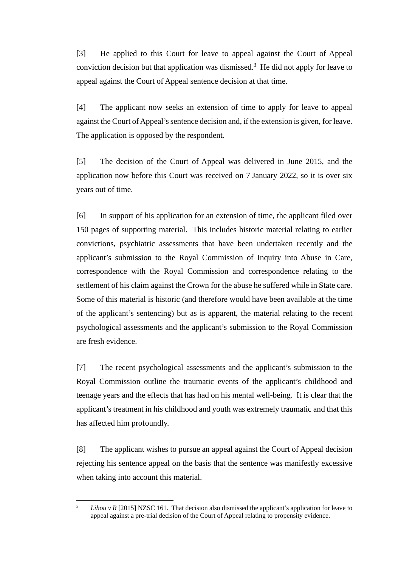[3] He applied to this Court for leave to appeal against the Court of Appeal conviction decision but that application was dismissed. $3$  He did not apply for leave to appeal against the Court of Appeal sentence decision at that time.

[4] The applicant now seeks an extension of time to apply for leave to appeal against the Court of Appeal's sentence decision and, if the extension is given, for leave. The application is opposed by the respondent.

[5] The decision of the Court of Appeal was delivered in June 2015, and the application now before this Court was received on 7 January 2022, so it is over six years out of time.

[6] In support of his application for an extension of time, the applicant filed over 150 pages of supporting material. This includes historic material relating to earlier convictions, psychiatric assessments that have been undertaken recently and the applicant's submission to the Royal Commission of Inquiry into Abuse in Care, correspondence with the Royal Commission and correspondence relating to the settlement of his claim against the Crown for the abuse he suffered while in State care. Some of this material is historic (and therefore would have been available at the time of the applicant's sentencing) but as is apparent, the material relating to the recent psychological assessments and the applicant's submission to the Royal Commission are fresh evidence.

[7] The recent psychological assessments and the applicant's submission to the Royal Commission outline the traumatic events of the applicant's childhood and teenage years and the effects that has had on his mental well-being. It is clear that the applicant's treatment in his childhood and youth was extremely traumatic and that this has affected him profoundly.

[8] The applicant wishes to pursue an appeal against the Court of Appeal decision rejecting his sentence appeal on the basis that the sentence was manifestly excessive when taking into account this material.

<sup>&</sup>lt;sup>3</sup> *Lihou v R* [2015] NZSC 161. That decision also dismissed the applicant's application for leave to appeal against a pre-trial decision of the Court of Appeal relating to propensity evidence.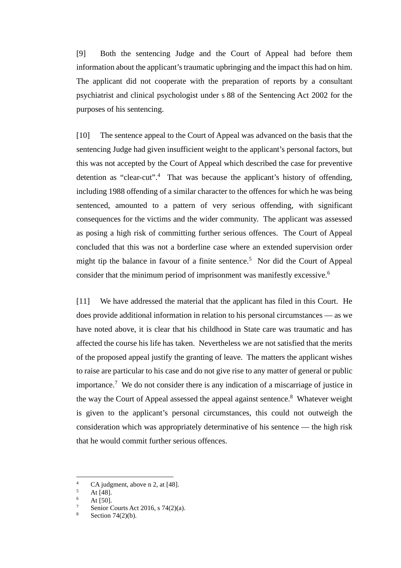[9] Both the sentencing Judge and the Court of Appeal had before them information about the applicant's traumatic upbringing and the impact this had on him. The applicant did not cooperate with the preparation of reports by a consultant psychiatrist and clinical psychologist under s 88 of the Sentencing Act 2002 for the purposes of his sentencing.

[10] The sentence appeal to the Court of Appeal was advanced on the basis that the sentencing Judge had given insufficient weight to the applicant's personal factors, but this was not accepted by the Court of Appeal which described the case for preventive detention as "clear-cut".<sup>4</sup> That was because the applicant's history of offending, including 1988 offending of a similar character to the offences for which he was being sentenced, amounted to a pattern of very serious offending, with significant consequences for the victims and the wider community. The applicant was assessed as posing a high risk of committing further serious offences. The Court of Appeal concluded that this was not a borderline case where an extended supervision order might tip the balance in favour of a finite sentence.<sup>5</sup> Nor did the Court of Appeal consider that the minimum period of imprisonment was manifestly excessive.<sup>6</sup>

[11] We have addressed the material that the applicant has filed in this Court. He does provide additional information in relation to his personal circumstances — as we have noted above, it is clear that his childhood in State care was traumatic and has affected the course his life has taken. Nevertheless we are not satisfied that the merits of the proposed appeal justify the granting of leave. The matters the applicant wishes to raise are particular to his case and do not give rise to any matter of general or public importance.<sup>7</sup> We do not consider there is any indication of a miscarriage of justice in the way the Court of Appeal assessed the appeal against sentence.<sup>8</sup> Whatever weight is given to the applicant's personal circumstances, this could not outweigh the consideration which was appropriately determinative of his sentence — the high risk that he would commit further serious offences.

<sup>&</sup>lt;sup>4</sup> CA judgment, above n [2,](#page-0-0) at [48].

 $\frac{5}{6}$  At [48].

At [50].

Senior Courts Act 2016, s 74(2)(a).

Section  $74(2)(b)$ .